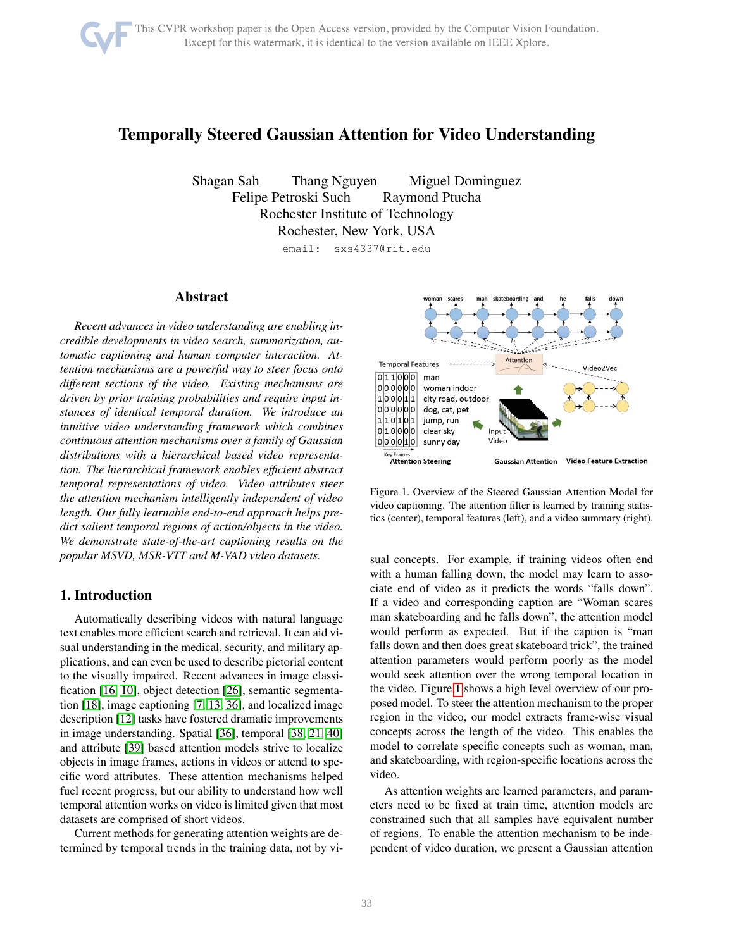# Temporally Steered Gaussian Attention for Video Understanding

Shagan Sah Thang Nguyen Miguel Dominguez Felipe Petroski Such Raymond Ptucha Rochester Institute of Technology Rochester, New York, USA

email: sxs4337@rit.edu

# Abstract

*Recent advances in video understanding are enabling incredible developments in video search, summarization, automatic captioning and human computer interaction. Attention mechanisms are a powerful way to steer focus onto different sections of the video. Existing mechanisms are driven by prior training probabilities and require input instances of identical temporal duration. We introduce an intuitive video understanding framework which combines continuous attention mechanisms over a family of Gaussian distributions with a hierarchical based video representation. The hierarchical framework enables efficient abstract temporal representations of video. Video attributes steer the attention mechanism intelligently independent of video length. Our fully learnable end-to-end approach helps predict salient temporal regions of action/objects in the video. We demonstrate state-of-the-art captioning results on the popular MSVD, MSR-VTT and M-VAD video datasets.*

# 1. Introduction

Automatically describing videos with natural language text enables more efficient search and retrieval. It can aid visual understanding in the medical, security, and military applications, and can even be used to describe pictorial content to the visually impaired. Recent advances in image classification [\[16,](#page-7-0) [10\]](#page-6-0), object detection [\[26\]](#page-7-1), semantic segmentation [\[18\]](#page-7-2), image captioning [\[7,](#page-6-1) [13,](#page-7-3) [36\]](#page-7-4), and localized image description [\[12\]](#page-6-2) tasks have fostered dramatic improvements in image understanding. Spatial [\[36\]](#page-7-4), temporal [\[38,](#page-7-5) [21,](#page-7-6) [40\]](#page-8-0) and attribute [\[39\]](#page-7-7) based attention models strive to localize objects in image frames, actions in videos or attend to specific word attributes. These attention mechanisms helped fuel recent progress, but our ability to understand how well temporal attention works on video is limited given that most datasets are comprised of short videos.

Current methods for generating attention weights are determined by temporal trends in the training data, not by vi-



<span id="page-0-0"></span>Figure 1. Overview of the Steered Gaussian Attention Model for video captioning. The attention filter is learned by training statistics (center), temporal features (left), and a video summary (right).

sual concepts. For example, if training videos often end with a human falling down, the model may learn to associate end of video as it predicts the words "falls down". If a video and corresponding caption are "Woman scares man skateboarding and he falls down", the attention model would perform as expected. But if the caption is "man falls down and then does great skateboard trick", the trained attention parameters would perform poorly as the model would seek attention over the wrong temporal location in the video. Figure [1](#page-0-0) shows a high level overview of our proposed model. To steer the attention mechanism to the proper region in the video, our model extracts frame-wise visual concepts across the length of the video. This enables the model to correlate specific concepts such as woman, man, and skateboarding, with region-specific locations across the video.

As attention weights are learned parameters, and parameters need to be fixed at train time, attention models are constrained such that all samples have equivalent number of regions. To enable the attention mechanism to be independent of video duration, we present a Gaussian attention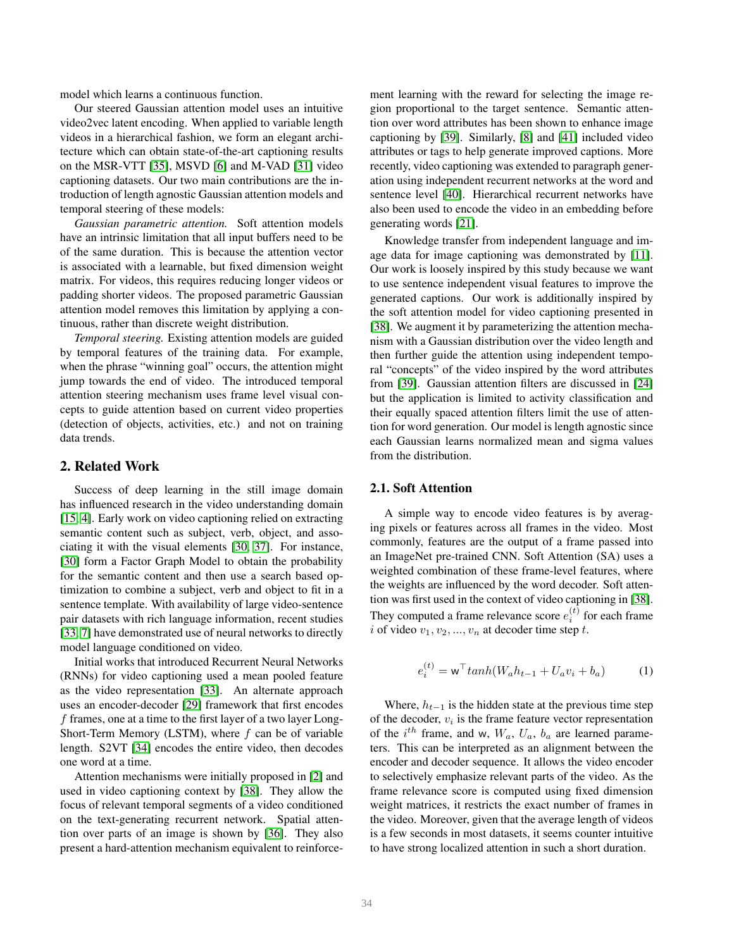model which learns a continuous function.

Our steered Gaussian attention model uses an intuitive video2vec latent encoding. When applied to variable length videos in a hierarchical fashion, we form an elegant architecture which can obtain state-of-the-art captioning results on the MSR-VTT [\[35\]](#page-7-8), MSVD [\[6\]](#page-6-3) and M-VAD [\[31\]](#page-7-9) video captioning datasets. Our two main contributions are the introduction of length agnostic Gaussian attention models and temporal steering of these models:

*Gaussian parametric attention.* Soft attention models have an intrinsic limitation that all input buffers need to be of the same duration. This is because the attention vector is associated with a learnable, but fixed dimension weight matrix. For videos, this requires reducing longer videos or padding shorter videos. The proposed parametric Gaussian attention model removes this limitation by applying a continuous, rather than discrete weight distribution.

*Temporal steering.* Existing attention models are guided by temporal features of the training data. For example, when the phrase "winning goal" occurs, the attention might jump towards the end of video. The introduced temporal attention steering mechanism uses frame level visual concepts to guide attention based on current video properties (detection of objects, activities, etc.) and not on training data trends.

#### 2. Related Work

Success of deep learning in the still image domain has influenced research in the video understanding domain [\[15,](#page-7-10) [4\]](#page-6-4). Early work on video captioning relied on extracting semantic content such as subject, verb, object, and associating it with the visual elements [\[30,](#page-7-11) [37\]](#page-7-12). For instance, [\[30\]](#page-7-11) form a Factor Graph Model to obtain the probability for the semantic content and then use a search based optimization to combine a subject, verb and object to fit in a sentence template. With availability of large video-sentence pair datasets with rich language information, recent studies [\[33,](#page-7-13) [7\]](#page-6-1) have demonstrated use of neural networks to directly model language conditioned on video.

Initial works that introduced Recurrent Neural Networks (RNNs) for video captioning used a mean pooled feature as the video representation [\[33\]](#page-7-13). An alternate approach uses an encoder-decoder [\[29\]](#page-7-14) framework that first encodes f frames, one at a time to the first layer of a two layer Long-Short-Term Memory (LSTM), where  $f$  can be of variable length. S2VT [\[34\]](#page-7-15) encodes the entire video, then decodes one word at a time.

Attention mechanisms were initially proposed in [\[2\]](#page-6-5) and used in video captioning context by [\[38\]](#page-7-5). They allow the focus of relevant temporal segments of a video conditioned on the text-generating recurrent network. Spatial attention over parts of an image is shown by [\[36\]](#page-7-4). They also present a hard-attention mechanism equivalent to reinforcement learning with the reward for selecting the image region proportional to the target sentence. Semantic attention over word attributes has been shown to enhance image captioning by [\[39\]](#page-7-7). Similarly, [\[8\]](#page-6-6) and [\[41\]](#page-8-1) included video attributes or tags to help generate improved captions. More recently, video captioning was extended to paragraph generation using independent recurrent networks at the word and sentence level [\[40\]](#page-8-0). Hierarchical recurrent networks have also been used to encode the video in an embedding before generating words [\[21\]](#page-7-6).

Knowledge transfer from independent language and image data for image captioning was demonstrated by [\[11\]](#page-6-7). Our work is loosely inspired by this study because we want to use sentence independent visual features to improve the generated captions. Our work is additionally inspired by the soft attention model for video captioning presented in [\[38\]](#page-7-5). We augment it by parameterizing the attention mechanism with a Gaussian distribution over the video length and then further guide the attention using independent temporal "concepts" of the video inspired by the word attributes from [\[39\]](#page-7-7). Gaussian attention filters are discussed in [\[24\]](#page-7-16) but the application is limited to activity classification and their equally spaced attention filters limit the use of attention for word generation. Our model is length agnostic since each Gaussian learns normalized mean and sigma values from the distribution.

## 2.1. Soft Attention

A simple way to encode video features is by averaging pixels or features across all frames in the video. Most commonly, features are the output of a frame passed into an ImageNet pre-trained CNN. Soft Attention (SA) uses a weighted combination of these frame-level features, where the weights are influenced by the word decoder. Soft attention was first used in the context of video captioning in [\[38\]](#page-7-5). They computed a frame relevance score  $e_i^{(t)}$  for each frame i of video  $v_1, v_2, ..., v_n$  at decoder time step t.

$$
e_i^{(t)} = \mathbf{w}^\top tanh(W_a h_{t-1} + U_a v_i + b_a)
$$
 (1)

Where,  $h_{t-1}$  is the hidden state at the previous time step of the decoder,  $v_i$  is the frame feature vector representation of the  $i^{th}$  frame, and w,  $W_a$ ,  $U_a$ ,  $b_a$  are learned parameters. This can be interpreted as an alignment between the encoder and decoder sequence. It allows the video encoder to selectively emphasize relevant parts of the video. As the frame relevance score is computed using fixed dimension weight matrices, it restricts the exact number of frames in the video. Moreover, given that the average length of videos is a few seconds in most datasets, it seems counter intuitive to have strong localized attention in such a short duration.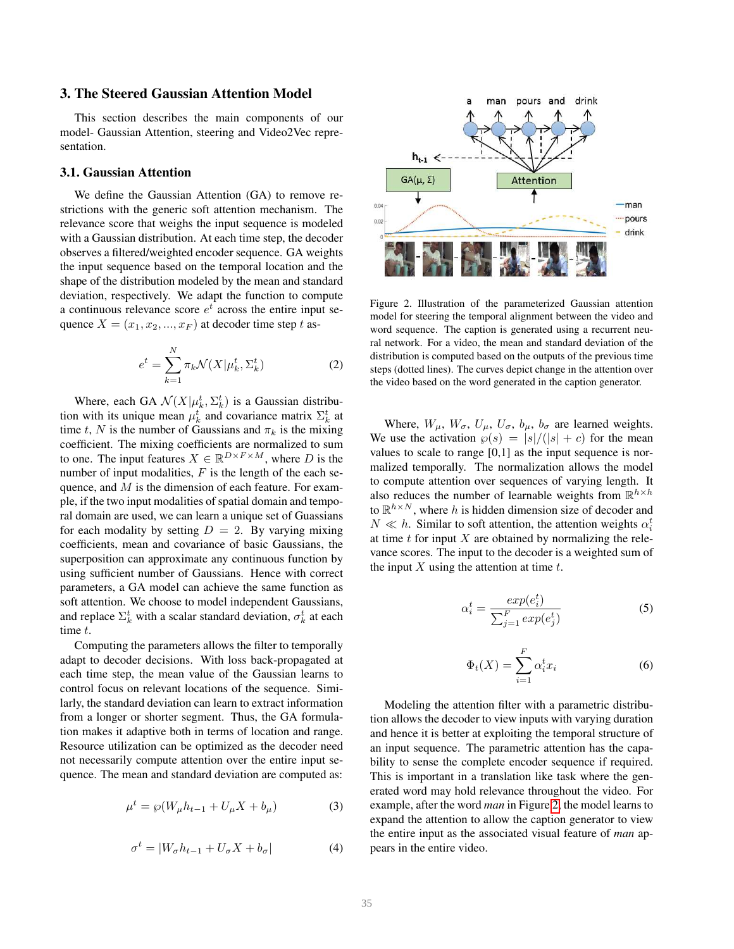# 3. The Steered Gaussian Attention Model

This section describes the main components of our model- Gaussian Attention, steering and Video2Vec representation.

#### 3.1. Gaussian Attention

We define the Gaussian Attention (GA) to remove restrictions with the generic soft attention mechanism. The relevance score that weighs the input sequence is modeled with a Gaussian distribution. At each time step, the decoder observes a filtered/weighted encoder sequence. GA weights the input sequence based on the temporal location and the shape of the distribution modeled by the mean and standard deviation, respectively. We adapt the function to compute a continuous relevance score  $e^t$  across the entire input sequence  $X = (x_1, x_2, ..., x_F)$  at decoder time step t as-

$$
e^t = \sum_{k=1}^{N} \pi_k \mathcal{N}(X | \mu_k^t, \Sigma_k^t)
$$
 (2)

Where, each GA  $\mathcal{N}(X|\mu_k^t, \Sigma_k^t)$  is a Gaussian distribution with its unique mean  $\mu_k^t$  and covariance matrix  $\Sigma_k^t$  at time t, N is the number of Gaussians and  $\pi_k$  is the mixing coefficient. The mixing coefficients are normalized to sum to one. The input features  $X \in \mathbb{R}^{D \times F \times M}$ , where D is the number of input modalities,  $F$  is the length of the each sequence, and  $M$  is the dimension of each feature. For example, if the two input modalities of spatial domain and temporal domain are used, we can learn a unique set of Guassians for each modality by setting  $D = 2$ . By varying mixing coefficients, mean and covariance of basic Gaussians, the superposition can approximate any continuous function by using sufficient number of Gaussians. Hence with correct parameters, a GA model can achieve the same function as soft attention. We choose to model independent Gaussians, and replace  $\Sigma_k^t$  with a scalar standard deviation,  $\sigma_k^t$  at each time t.

Computing the parameters allows the filter to temporally adapt to decoder decisions. With loss back-propagated at each time step, the mean value of the Gaussian learns to control focus on relevant locations of the sequence. Similarly, the standard deviation can learn to extract information from a longer or shorter segment. Thus, the GA formulation makes it adaptive both in terms of location and range. Resource utilization can be optimized as the decoder need not necessarily compute attention over the entire input sequence. The mean and standard deviation are computed as:

$$
\mu^t = \wp(W_\mu h_{t-1} + U_\mu X + b_\mu)
$$
 (3)

$$
\sigma^t = |W_{\sigma} h_{t-1} + U_{\sigma} X + b_{\sigma}| \tag{4}
$$



<span id="page-2-0"></span>Figure 2. Illustration of the parameterized Gaussian attention model for steering the temporal alignment between the video and word sequence. The caption is generated using a recurrent neural network. For a video, the mean and standard deviation of the distribution is computed based on the outputs of the previous time steps (dotted lines). The curves depict change in the attention over the video based on the word generated in the caption generator.

Where,  $W_{\mu}$ ,  $W_{\sigma}$ ,  $U_{\mu}$ ,  $U_{\sigma}$ ,  $b_{\mu}$ ,  $b_{\sigma}$  are learned weights. We use the activation  $\wp(s) = |s|/(|s| + c)$  for the mean values to scale to range  $[0,1]$  as the input sequence is normalized temporally. The normalization allows the model to compute attention over sequences of varying length. It also reduces the number of learnable weights from  $\mathbb{R}^{h \times h}$ to  $\mathbb{R}^{h \times N}$ , where h is hidden dimension size of decoder and  $N \ll h$ . Similar to soft attention, the attention weights  $\alpha_i^t$ at time  $t$  for input  $X$  are obtained by normalizing the relevance scores. The input to the decoder is a weighted sum of the input  $X$  using the attention at time  $t$ .

$$
\alpha_i^t = \frac{exp(e_i^t)}{\sum_{j=1}^F exp(e_j^t)}\tag{5}
$$

$$
\Phi_t(X) = \sum_{i=1}^F \alpha_i^t x_i \tag{6}
$$

Modeling the attention filter with a parametric distribution allows the decoder to view inputs with varying duration and hence it is better at exploiting the temporal structure of an input sequence. The parametric attention has the capability to sense the complete encoder sequence if required. This is important in a translation like task where the generated word may hold relevance throughout the video. For example, after the word *man* in Figure [2,](#page-2-0) the model learns to expand the attention to allow the caption generator to view the entire input as the associated visual feature of *man* appears in the entire video.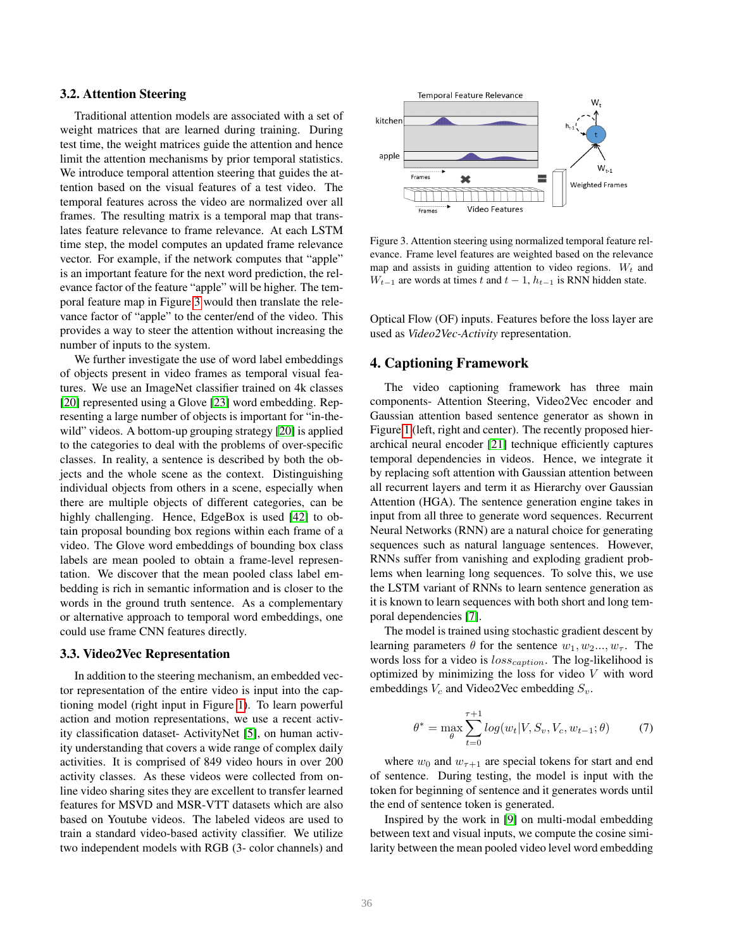## 3.2. Attention Steering

Traditional attention models are associated with a set of weight matrices that are learned during training. During test time, the weight matrices guide the attention and hence limit the attention mechanisms by prior temporal statistics. We introduce temporal attention steering that guides the attention based on the visual features of a test video. The temporal features across the video are normalized over all frames. The resulting matrix is a temporal map that translates feature relevance to frame relevance. At each LSTM time step, the model computes an updated frame relevance vector. For example, if the network computes that "apple" is an important feature for the next word prediction, the relevance factor of the feature "apple" will be higher. The temporal feature map in Figure [3](#page-3-0) would then translate the relevance factor of "apple" to the center/end of the video. This provides a way to steer the attention without increasing the number of inputs to the system.

We further investigate the use of word label embeddings of objects present in video frames as temporal visual features. We use an ImageNet classifier trained on 4k classes [\[20\]](#page-7-17) represented using a Glove [\[23\]](#page-7-18) word embedding. Representing a large number of objects is important for "in-thewild" videos. A bottom-up grouping strategy [\[20\]](#page-7-17) is applied to the categories to deal with the problems of over-specific classes. In reality, a sentence is described by both the objects and the whole scene as the context. Distinguishing individual objects from others in a scene, especially when there are multiple objects of different categories, can be highly challenging. Hence, EdgeBox is used [\[42\]](#page-8-2) to obtain proposal bounding box regions within each frame of a video. The Glove word embeddings of bounding box class labels are mean pooled to obtain a frame-level representation. We discover that the mean pooled class label embedding is rich in semantic information and is closer to the words in the ground truth sentence. As a complementary or alternative approach to temporal word embeddings, one could use frame CNN features directly.

#### 3.3. Video2Vec Representation

In addition to the steering mechanism, an embedded vector representation of the entire video is input into the captioning model (right input in Figure [1\)](#page-0-0). To learn powerful action and motion representations, we use a recent activity classification dataset- ActivityNet [\[5\]](#page-6-8), on human activity understanding that covers a wide range of complex daily activities. It is comprised of 849 video hours in over 200 activity classes. As these videos were collected from online video sharing sites they are excellent to transfer learned features for MSVD and MSR-VTT datasets which are also based on Youtube videos. The labeled videos are used to train a standard video-based activity classifier. We utilize two independent models with RGB (3- color channels) and



<span id="page-3-0"></span>Figure 3. Attention steering using normalized temporal feature relevance. Frame level features are weighted based on the relevance map and assists in guiding attention to video regions.  $W_t$  and  $W_{t-1}$  are words at times t and  $t-1$ ,  $h_{t-1}$  is RNN hidden state.

Optical Flow (OF) inputs. Features before the loss layer are used as *Video2Vec-Activity* representation.

# 4. Captioning Framework

The video captioning framework has three main components- Attention Steering, Video2Vec encoder and Gaussian attention based sentence generator as shown in Figure [1](#page-0-0) (left, right and center). The recently proposed hierarchical neural encoder [\[21\]](#page-7-6) technique efficiently captures temporal dependencies in videos. Hence, we integrate it by replacing soft attention with Gaussian attention between all recurrent layers and term it as Hierarchy over Gaussian Attention (HGA). The sentence generation engine takes in input from all three to generate word sequences. Recurrent Neural Networks (RNN) are a natural choice for generating sequences such as natural language sentences. However, RNNs suffer from vanishing and exploding gradient problems when learning long sequences. To solve this, we use the LSTM variant of RNNs to learn sentence generation as it is known to learn sequences with both short and long temporal dependencies [\[7\]](#page-6-1).

The model is trained using stochastic gradient descent by learning parameters  $\theta$  for the sentence  $w_1, w_2, ..., w_\tau$ . The words loss for a video is  $loss_{caption}$ . The log-likelihood is optimized by minimizing the loss for video  $V$  with word embeddings  $V_c$  and Video2Vec embedding  $S_v$ .

$$
\theta^* = \max_{\theta} \sum_{t=0}^{\tau+1} \log(w_t | V, S_v, V_c, w_{t-1}; \theta)
$$
 (7)

where  $w_0$  and  $w_{\tau+1}$  are special tokens for start and end of sentence. During testing, the model is input with the token for beginning of sentence and it generates words until the end of sentence token is generated.

Inspired by the work in [\[9\]](#page-6-9) on multi-modal embedding between text and visual inputs, we compute the cosine similarity between the mean pooled video level word embedding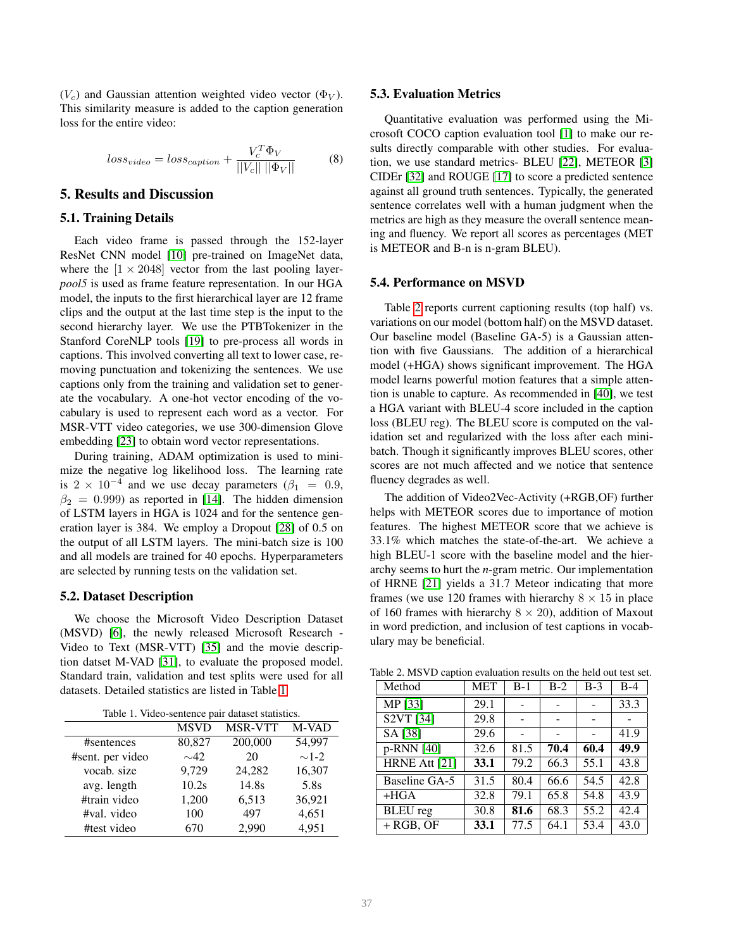$(V_c)$  and Gaussian attention weighted video vector ( $\Phi_V$ ). This similarity measure is added to the caption generation loss for the entire video:

<span id="page-4-2"></span>
$$
loss_{video} = loss_{caption} + \frac{V_c^T \Phi_V}{||V_c|| ||\Phi_V||}
$$
 (8)

## 5. Results and Discussion

#### 5.1. Training Details

Each video frame is passed through the 152-layer ResNet CNN model [\[10\]](#page-6-0) pre-trained on ImageNet data, where the  $[1 \times 2048]$  vector from the last pooling layer*pool5* is used as frame feature representation. In our HGA model, the inputs to the first hierarchical layer are 12 frame clips and the output at the last time step is the input to the second hierarchy layer. We use the PTBTokenizer in the Stanford CoreNLP tools [\[19\]](#page-7-19) to pre-process all words in captions. This involved converting all text to lower case, removing punctuation and tokenizing the sentences. We use captions only from the training and validation set to generate the vocabulary. A one-hot vector encoding of the vocabulary is used to represent each word as a vector. For MSR-VTT video categories, we use 300-dimension Glove embedding [\[23\]](#page-7-18) to obtain word vector representations.

During training, ADAM optimization is used to minimize the negative log likelihood loss. The learning rate is 2 × 10<sup>-4</sup> and we use decay parameters ( $\beta_1 = 0.9$ ,  $\beta_2 = 0.999$ ) as reported in [\[14\]](#page-7-20). The hidden dimension of LSTM layers in HGA is 1024 and for the sentence generation layer is 384. We employ a Dropout [\[28\]](#page-7-21) of 0.5 on the output of all LSTM layers. The mini-batch size is 100 and all models are trained for 40 epochs. Hyperparameters are selected by running tests on the validation set.

#### 5.2. Dataset Description

We choose the Microsoft Video Description Dataset (MSVD) [\[6\]](#page-6-3), the newly released Microsoft Research - Video to Text (MSR-VTT) [\[35\]](#page-7-8) and the movie description datset M-VAD [\[31\]](#page-7-9), to evaluate the proposed model. Standard train, validation and test splits were used for all datasets. Detailed statistics are listed in Table [1.](#page-4-0)

<span id="page-4-0"></span>

| racio 1: Traco sentence pan autusci statistics: |             |                |            |  |  |  |  |
|-------------------------------------------------|-------------|----------------|------------|--|--|--|--|
|                                                 | <b>MSVD</b> | <b>MSR-VTT</b> | M-VAD      |  |  |  |  |
| #sentences                                      | 80,827      | 200,000        | 54,997     |  |  |  |  |
| #sent. per video                                | $\sim$ 42   | 20             | $\sim$ 1-2 |  |  |  |  |
| vocab. size                                     | 9,729       | 24,282         | 16,307     |  |  |  |  |
| avg. length                                     | 10.2s       | 14.8s          | 5.8s       |  |  |  |  |
| #train video                                    | 1,200       | 6,513          | 36,921     |  |  |  |  |
| #val. video                                     | 100         | 497            | 4,651      |  |  |  |  |
| #test video                                     | 670         | 2,990          | 4,951      |  |  |  |  |

#### 5.3. Evaluation Metrics

Quantitative evaluation was performed using the Microsoft COCO caption evaluation tool [\[1\]](#page-6-10) to make our results directly comparable with other studies. For evaluation, we use standard metrics- BLEU [\[22\]](#page-7-22), METEOR [\[3\]](#page-6-11) CIDEr [\[32\]](#page-7-23) and ROUGE [\[17\]](#page-7-24) to score a predicted sentence against all ground truth sentences. Typically, the generated sentence correlates well with a human judgment when the metrics are high as they measure the overall sentence meaning and fluency. We report all scores as percentages (MET is METEOR and B-n is n-gram BLEU).

#### 5.4. Performance on MSVD

Table [2](#page-4-1) reports current captioning results (top half) vs. variations on our model (bottom half) on the MSVD dataset. Our baseline model (Baseline GA-5) is a Gaussian attention with five Gaussians. The addition of a hierarchical model (+HGA) shows significant improvement. The HGA model learns powerful motion features that a simple attention is unable to capture. As recommended in [\[40\]](#page-8-0), we test a HGA variant with BLEU-4 score included in the caption loss (BLEU reg). The BLEU score is computed on the validation set and regularized with the loss after each minibatch. Though it significantly improves BLEU scores, other scores are not much affected and we notice that sentence fluency degrades as well.

The addition of Video2Vec-Activity (+RGB,OF) further helps with METEOR scores due to importance of motion features. The highest METEOR score that we achieve is 33.1% which matches the state-of-the-art. We achieve a high BLEU-1 score with the baseline model and the hierarchy seems to hurt the *n*-gram metric. Our implementation of HRNE [\[21\]](#page-7-6) yields a 31.7 Meteor indicating that more frames (we use 120 frames with hierarchy  $8 \times 15$  in place of 160 frames with hierarchy  $8 \times 20$ ), addition of Maxout in word prediction, and inclusion of test captions in vocabulary may be beneficial.

<span id="page-4-1"></span>

| Method                            | <b>MET</b> | $B-1$ | $B-2$ | $B-3$ | $B-4$ |
|-----------------------------------|------------|-------|-------|-------|-------|
| MP [33]                           | 29.1       |       |       |       | 33.3  |
| S <sub>2</sub> VT <sub>[34]</sub> | 29.8       |       |       |       |       |
| SA [38]                           | 29.6       |       |       |       | 41.9  |
| p-RNN [40]                        | 32.6       | 81.5  | 70.4  | 60.4  | 49.9  |
| HRNE Att [21]                     | 33.1       | 79.2  | 66.3  | 55.1  | 43.8  |
| Baseline GA-5                     | 31.5       | 80.4  | 66.6  | 54.5  | 42.8  |
| $+HGA$                            | 32.8       | 79.1  | 65.8  | 54.8  | 43.9  |
| <b>BLEU</b> reg                   | 30.8       | 81.6  | 68.3  | 55.2  | 42.4  |
| $+$ RGB, OF                       | 33.1       | 77.5  | 64.1  | 53.4  | 43.0  |

Table 2. MSVD caption evaluation results on the held out test set.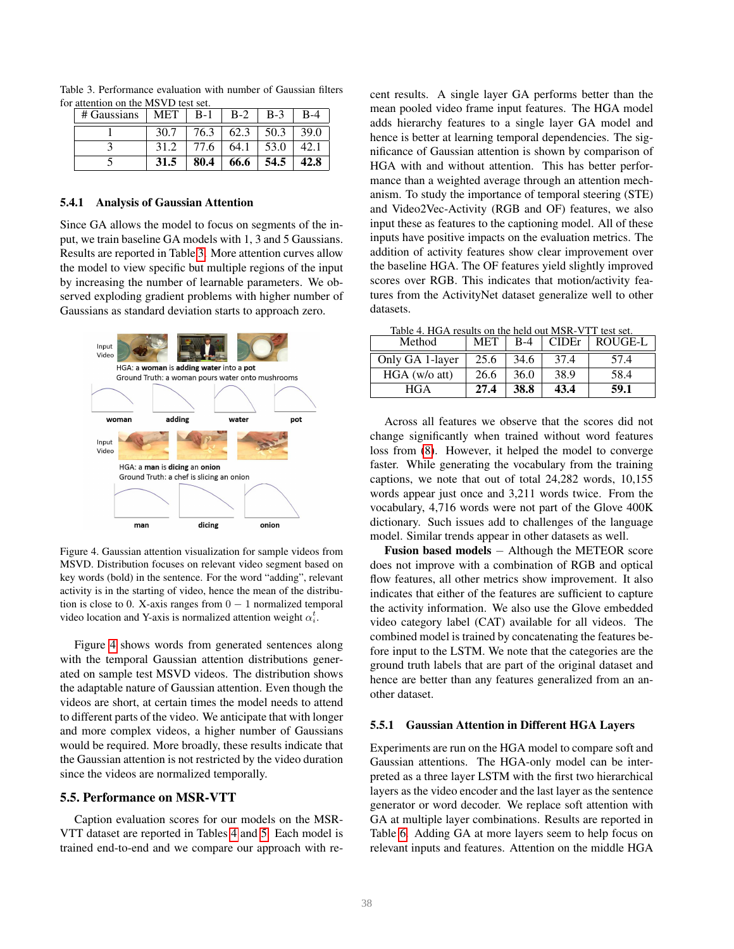<span id="page-5-0"></span>

| $\#$ Gaussians $\ $ | MET <sub>1</sub> | $B-1$ | $B-2$ | $B-3$ | $B-4$ |
|---------------------|------------------|-------|-------|-------|-------|
|                     | 30.7             | 76.3  | 62.3  | 50.3  | 39.0  |
|                     | 31.2             | 77.6  | 64.1  | 53.0  |       |
|                     | 31.5             | 80.4  | 66.6  | 54.5  | 42.8  |

Table 3. Performance evaluation with number of Gaussian filters for attention on the MSVD test set.

## 5.4.1 Analysis of Gaussian Attention

Since GA allows the model to focus on segments of the input, we train baseline GA models with 1, 3 and 5 Gaussians. Results are reported in Table [3.](#page-5-0) More attention curves allow the model to view specific but multiple regions of the input by increasing the number of learnable parameters. We observed exploding gradient problems with higher number of Gaussians as standard deviation starts to approach zero.



<span id="page-5-1"></span>Figure 4. Gaussian attention visualization for sample videos from MSVD. Distribution focuses on relevant video segment based on key words (bold) in the sentence. For the word "adding", relevant activity is in the starting of video, hence the mean of the distribution is close to 0. X-axis ranges from  $0 - 1$  normalized temporal video location and Y-axis is normalized attention weight  $\alpha_i^t$ .

Figure [4](#page-5-1) shows words from generated sentences along with the temporal Gaussian attention distributions generated on sample test MSVD videos. The distribution shows the adaptable nature of Gaussian attention. Even though the videos are short, at certain times the model needs to attend to different parts of the video. We anticipate that with longer and more complex videos, a higher number of Gaussians would be required. More broadly, these results indicate that the Gaussian attention is not restricted by the video duration since the videos are normalized temporally.

## 5.5. Performance on MSR-VTT

Caption evaluation scores for our models on the MSR-VTT dataset are reported in Tables [4](#page-5-2) and [5.](#page-6-12) Each model is trained end-to-end and we compare our approach with recent results. A single layer GA performs better than the mean pooled video frame input features. The HGA model adds hierarchy features to a single layer GA model and hence is better at learning temporal dependencies. The significance of Gaussian attention is shown by comparison of HGA with and without attention. This has better performance than a weighted average through an attention mechanism. To study the importance of temporal steering (STE) and Video2Vec-Activity (RGB and OF) features, we also input these as features to the captioning model. All of these inputs have positive impacts on the evaluation metrics. The addition of activity features show clear improvement over the baseline HGA. The OF features yield slightly improved scores over RGB. This indicates that motion/activity features from the ActivityNet dataset generalize well to other datasets.

<span id="page-5-2"></span>Table 4. HGA results on the held out MSR-VTT test set.

| Method          | <b>MET</b> | $B-4$ | CIDEr | ROUGE-L |
|-----------------|------------|-------|-------|---------|
| Only GA 1-layer | 25.6       | 34.6  | 37.4  | 57.4    |
| HGA (w/o att)   | 26.6       | 36.0  | 38.9  | 58.4    |
| <b>HGA</b>      | 27.4       | 38.8  | 43.4  | 59.1    |

Across all features we observe that the scores did not change significantly when trained without word features loss from [\(8\)](#page-4-2). However, it helped the model to converge faster. While generating the vocabulary from the training captions, we note that out of total 24,282 words, 10,155 words appear just once and 3,211 words twice. From the vocabulary, 4,716 words were not part of the Glove 400K dictionary. Such issues add to challenges of the language model. Similar trends appear in other datasets as well.

Fusion based models − Although the METEOR score does not improve with a combination of RGB and optical flow features, all other metrics show improvement. It also indicates that either of the features are sufficient to capture the activity information. We also use the Glove embedded video category label (CAT) available for all videos. The combined model is trained by concatenating the features before input to the LSTM. We note that the categories are the ground truth labels that are part of the original dataset and hence are better than any features generalized from an another dataset.

#### 5.5.1 Gaussian Attention in Different HGA Layers

Experiments are run on the HGA model to compare soft and Gaussian attentions. The HGA-only model can be interpreted as a three layer LSTM with the first two hierarchical layers as the video encoder and the last layer as the sentence generator or word decoder. We replace soft attention with GA at multiple layer combinations. Results are reported in Table [6.](#page-6-13) Adding GA at more layers seem to help focus on relevant inputs and features. Attention on the middle HGA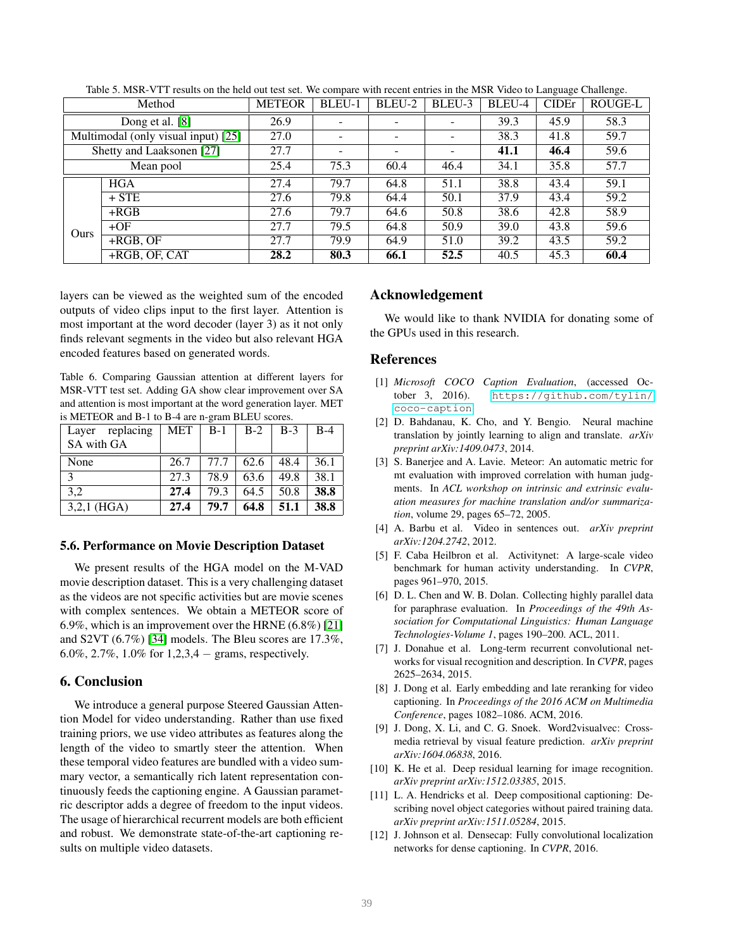|             | Method                              | <b>METEOR</b> | BLEU-1 | BLEU-2                   | BLEU-3                   | BLEU-4 | <b>CIDE</b> r | ROUGE-L |
|-------------|-------------------------------------|---------------|--------|--------------------------|--------------------------|--------|---------------|---------|
|             | Dong et al. [8]                     | 26.9          |        |                          |                          | 39.3   | 45.9          | 58.3    |
|             | Multimodal (only visual input) [25] | 27.0          |        | $\overline{\phantom{a}}$ | $\overline{\phantom{a}}$ | 38.3   | 41.8          | 59.7    |
|             | Shetty and Laaksonen [27]           | 27.7          |        | $\overline{\phantom{0}}$ |                          | 41.1   | 46.4          | 59.6    |
|             | Mean pool                           | 25.4          | 75.3   | 60.4                     | 46.4                     | 34.1   | 35.8          | 57.7    |
|             | <b>HGA</b>                          | 27.4          | 79.7   | 64.8                     | 51.1                     | 38.8   | 43.4          | 59.1    |
|             | $+$ STE                             | 27.6          | 79.8   | 64.4                     | 50.1                     | 37.9   | 43.4          | 59.2    |
|             | $+RGB$                              | 27.6          | 79.7   | 64.6                     | 50.8                     | 38.6   | 42.8          | 58.9    |
| <b>Ours</b> | $+OF$                               | 27.7          | 79.5   | 64.8                     | 50.9                     | 39.0   | 43.8          | 59.6    |
|             | $+RGB, OF$                          | 27.7          | 79.9   | 64.9                     | 51.0                     | 39.2   | 43.5          | 59.2    |
|             | +RGB, OF, CAT                       | 28.2          | 80.3   | 66.1                     | 52.5                     | 40.5   | 45.3          | 60.4    |

<span id="page-6-12"></span>Table 5. MSR-VTT results on the held out test set. We compare with recent entries in the MSR Video to Language Challenge.

layers can be viewed as the weighted sum of the encoded outputs of video clips input to the first layer. Attention is most important at the word decoder (layer 3) as it not only finds relevant segments in the video but also relevant HGA encoded features based on generated words.

<span id="page-6-13"></span>Table 6. Comparing Gaussian attention at different layers for MSR-VTT test set. Adding GA show clear improvement over SA and attention is most important at the word generation layer. MET is METEOR and B-1 to B-4 are n-gram BLEU scores.

| Layer replacing | MET  | $B-1$ | $B-2$ | $B-3$ | $B-4$ |
|-----------------|------|-------|-------|-------|-------|
| SA with GA      |      |       |       |       |       |
| None            | 26.7 | 77.7  | 62.6  | 48.4  | 36.1  |
| $\mathcal{L}$   | 27.3 | 78.9  | 63.6  | 49.8  | 38.1  |
| 3.2             | 27.4 | 79.3  | 64.5  | 50.8  | 38.8  |
| $3,2,1$ (HGA)   | 27.4 | 79.7  | 64.8  | 51.1  | 38.8  |

## 5.6. Performance on Movie Description Dataset

We present results of the HGA model on the M-VAD movie description dataset. This is a very challenging dataset as the videos are not specific activities but are movie scenes with complex sentences. We obtain a METEOR score of 6.9%, which is an improvement over the HRNE (6.8%) [\[21\]](#page-7-6) and S2VT (6.7%) [\[34\]](#page-7-15) models. The Bleu scores are 17.3%, 6.0%, 2.7%, 1.0% for  $1,2,3,4$  – grams, respectively.

## 6. Conclusion

We introduce a general purpose Steered Gaussian Attention Model for video understanding. Rather than use fixed training priors, we use video attributes as features along the length of the video to smartly steer the attention. When these temporal video features are bundled with a video summary vector, a semantically rich latent representation continuously feeds the captioning engine. A Gaussian parametric descriptor adds a degree of freedom to the input videos. The usage of hierarchical recurrent models are both efficient and robust. We demonstrate state-of-the-art captioning results on multiple video datasets.

## Acknowledgement

We would like to thank NVIDIA for donating some of the GPUs used in this research.

#### References

- <span id="page-6-10"></span>[1] *Microsoft COCO Caption Evaluation*, (accessed October 3, 2016). [https://github.com/tylin/](https://github.com/tylin/coco-caption) [coco-caption](https://github.com/tylin/coco-caption).
- <span id="page-6-5"></span>[2] D. Bahdanau, K. Cho, and Y. Bengio. Neural machine translation by jointly learning to align and translate. *arXiv preprint arXiv:1409.0473*, 2014.
- <span id="page-6-11"></span>[3] S. Banerjee and A. Lavie. Meteor: An automatic metric for mt evaluation with improved correlation with human judgments. In *ACL workshop on intrinsic and extrinsic evaluation measures for machine translation and/or summarization*, volume 29, pages 65–72, 2005.
- <span id="page-6-4"></span>[4] A. Barbu et al. Video in sentences out. *arXiv preprint arXiv:1204.2742*, 2012.
- <span id="page-6-8"></span>[5] F. Caba Heilbron et al. Activitynet: A large-scale video benchmark for human activity understanding. In *CVPR*, pages 961–970, 2015.
- <span id="page-6-3"></span>[6] D. L. Chen and W. B. Dolan. Collecting highly parallel data for paraphrase evaluation. In *Proceedings of the 49th Association for Computational Linguistics: Human Language Technologies-Volume 1*, pages 190–200. ACL, 2011.
- <span id="page-6-1"></span>[7] J. Donahue et al. Long-term recurrent convolutional networks for visual recognition and description. In *CVPR*, pages 2625–2634, 2015.
- <span id="page-6-6"></span>[8] J. Dong et al. Early embedding and late reranking for video captioning. In *Proceedings of the 2016 ACM on Multimedia Conference*, pages 1082–1086. ACM, 2016.
- <span id="page-6-9"></span>[9] J. Dong, X. Li, and C. G. Snoek. Word2visualvec: Crossmedia retrieval by visual feature prediction. *arXiv preprint arXiv:1604.06838*, 2016.
- <span id="page-6-0"></span>[10] K. He et al. Deep residual learning for image recognition. *arXiv preprint arXiv:1512.03385*, 2015.
- <span id="page-6-7"></span>[11] L. A. Hendricks et al. Deep compositional captioning: Describing novel object categories without paired training data. *arXiv preprint arXiv:1511.05284*, 2015.
- <span id="page-6-2"></span>[12] J. Johnson et al. Densecap: Fully convolutional localization networks for dense captioning. In *CVPR*, 2016.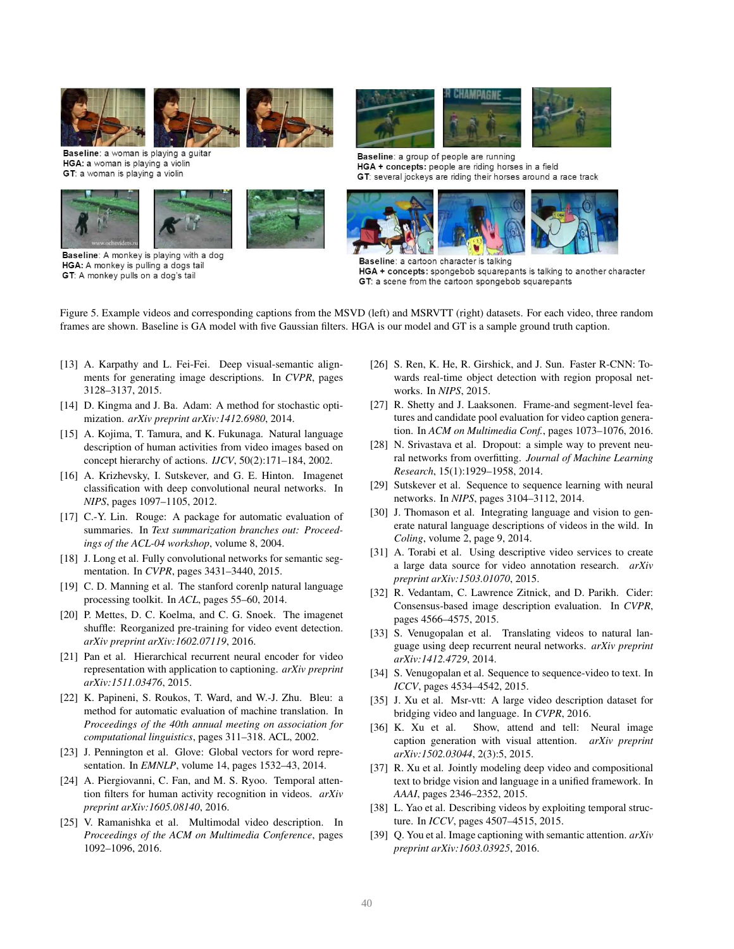

Baseline: a woman is playing a quitar HGA: a woman is playing a violin GT: a woman is playing a violin



Baseline: A monkey is playing with a dog HGA: A monkey is pulling a dogs tail GT: A monkey pulls on a dog's tail





Baseline: a group of people are running HGA + concepts: people are riding horses in a field GT: several jockeys are riding their horses around a race track



Baseline: a cartoon character is talking HGA + concepts: spongebob squarepants is talking to another character GT: a scene from the cartoon spongebob squarepants

Figure 5. Example videos and corresponding captions from the MSVD (left) and MSRVTT (right) datasets. For each video, three random frames are shown. Baseline is GA model with five Gaussian filters. HGA is our model and GT is a sample ground truth caption.

- <span id="page-7-3"></span>[13] A. Karpathy and L. Fei-Fei. Deep visual-semantic alignments for generating image descriptions. In *CVPR*, pages 3128–3137, 2015.
- <span id="page-7-20"></span>[14] D. Kingma and J. Ba. Adam: A method for stochastic optimization. *arXiv preprint arXiv:1412.6980*, 2014.
- <span id="page-7-10"></span>[15] A. Kojima, T. Tamura, and K. Fukunaga. Natural language description of human activities from video images based on concept hierarchy of actions. *IJCV*, 50(2):171–184, 2002.
- <span id="page-7-0"></span>[16] A. Krizhevsky, I. Sutskever, and G. E. Hinton. Imagenet classification with deep convolutional neural networks. In *NIPS*, pages 1097–1105, 2012.
- <span id="page-7-24"></span>[17] C.-Y. Lin. Rouge: A package for automatic evaluation of summaries. In *Text summarization branches out: Proceedings of the ACL-04 workshop*, volume 8, 2004.
- <span id="page-7-2"></span>[18] J. Long et al. Fully convolutional networks for semantic segmentation. In *CVPR*, pages 3431–3440, 2015.
- <span id="page-7-19"></span>[19] C. D. Manning et al. The stanford corenlp natural language processing toolkit. In *ACL*, pages 55–60, 2014.
- <span id="page-7-17"></span>[20] P. Mettes, D. C. Koelma, and C. G. Snoek. The imagenet shuffle: Reorganized pre-training for video event detection. *arXiv preprint arXiv:1602.07119*, 2016.
- <span id="page-7-6"></span>[21] Pan et al. Hierarchical recurrent neural encoder for video representation with application to captioning. *arXiv preprint arXiv:1511.03476*, 2015.
- <span id="page-7-22"></span>[22] K. Papineni, S. Roukos, T. Ward, and W.-J. Zhu. Bleu: a method for automatic evaluation of machine translation. In *Proceedings of the 40th annual meeting on association for computational linguistics*, pages 311–318. ACL, 2002.
- <span id="page-7-18"></span>[23] J. Pennington et al. Glove: Global vectors for word representation. In *EMNLP*, volume 14, pages 1532–43, 2014.
- <span id="page-7-16"></span>[24] A. Piergiovanni, C. Fan, and M. S. Ryoo. Temporal attention filters for human activity recognition in videos. *arXiv preprint arXiv:1605.08140*, 2016.
- <span id="page-7-25"></span>[25] V. Ramanishka et al. Multimodal video description. In *Proceedings of the ACM on Multimedia Conference*, pages 1092–1096, 2016.
- <span id="page-7-1"></span>[26] S. Ren, K. He, R. Girshick, and J. Sun. Faster R-CNN: Towards real-time object detection with region proposal networks. In *NIPS*, 2015.
- <span id="page-7-26"></span>[27] R. Shetty and J. Laaksonen. Frame-and segment-level features and candidate pool evaluation for video caption generation. In *ACM on Multimedia Conf.*, pages 1073–1076, 2016.
- <span id="page-7-21"></span>[28] N. Srivastava et al. Dropout: a simple way to prevent neural networks from overfitting. *Journal of Machine Learning Research*, 15(1):1929–1958, 2014.
- <span id="page-7-14"></span>[29] Sutskever et al. Sequence to sequence learning with neural networks. In *NIPS*, pages 3104–3112, 2014.
- <span id="page-7-11"></span>[30] J. Thomason et al. Integrating language and vision to generate natural language descriptions of videos in the wild. In *Coling*, volume 2, page 9, 2014.
- <span id="page-7-9"></span>[31] A. Torabi et al. Using descriptive video services to create a large data source for video annotation research. *arXiv preprint arXiv:1503.01070*, 2015.
- <span id="page-7-23"></span>[32] R. Vedantam, C. Lawrence Zitnick, and D. Parikh. Cider: Consensus-based image description evaluation. In *CVPR*, pages 4566–4575, 2015.
- <span id="page-7-13"></span>[33] S. Venugopalan et al. Translating videos to natural language using deep recurrent neural networks. *arXiv preprint arXiv:1412.4729*, 2014.
- <span id="page-7-15"></span>[34] S. Venugopalan et al. Sequence to sequence-video to text. In *ICCV*, pages 4534–4542, 2015.
- <span id="page-7-8"></span>[35] J. Xu et al. Msr-vtt: A large video description dataset for bridging video and language. In *CVPR*, 2016.
- <span id="page-7-4"></span>[36] K. Xu et al. Show, attend and tell: Neural image caption generation with visual attention. *arXiv preprint arXiv:1502.03044*, 2(3):5, 2015.
- <span id="page-7-12"></span>[37] R. Xu et al. Jointly modeling deep video and compositional text to bridge vision and language in a unified framework. In *AAAI*, pages 2346–2352, 2015.
- <span id="page-7-5"></span>[38] L. Yao et al. Describing videos by exploiting temporal structure. In *ICCV*, pages 4507–4515, 2015.
- <span id="page-7-7"></span>[39] Q. You et al. Image captioning with semantic attention. *arXiv preprint arXiv:1603.03925*, 2016.